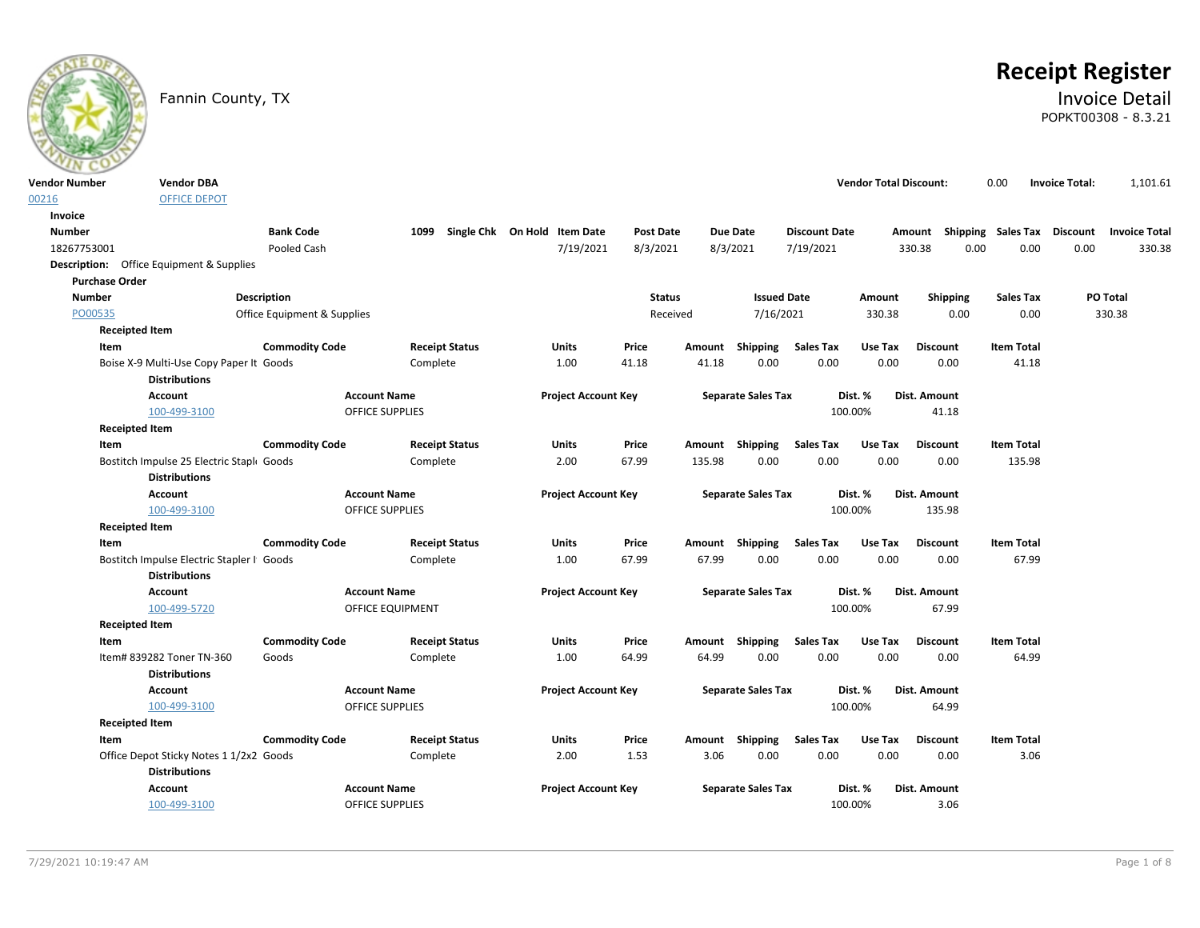

# **Receipt Register**

# Fannin County, TX **Invoice Detail** POPKT00308 - 8.3.21

| <b>Vendor Number</b>  | <b>Vendor DBA</b>                               |                             |                         |                       |                                   |                            |                  |        |                           |                      | <b>Vendor Total Discount:</b> |                 |                 | 0.00              | <b>Invoice Total:</b>              | 1,101.61             |
|-----------------------|-------------------------------------------------|-----------------------------|-------------------------|-----------------------|-----------------------------------|----------------------------|------------------|--------|---------------------------|----------------------|-------------------------------|-----------------|-----------------|-------------------|------------------------------------|----------------------|
| 00216                 | <b>OFFICE DEPOT</b>                             |                             |                         |                       |                                   |                            |                  |        |                           |                      |                               |                 |                 |                   |                                    |                      |
| Invoice               |                                                 |                             |                         |                       |                                   |                            |                  |        |                           |                      |                               |                 |                 |                   |                                    |                      |
| <b>Number</b>         |                                                 | <b>Bank Code</b>            |                         |                       | 1099 Single Chk On Hold Item Date |                            | <b>Post Date</b> |        | <b>Due Date</b>           | <b>Discount Date</b> |                               |                 |                 |                   | Amount Shipping Sales Tax Discount | <b>Invoice Total</b> |
| 18267753001           |                                                 | Pooled Cash                 |                         |                       |                                   | 7/19/2021                  | 8/3/2021         |        | 8/3/2021                  | 7/19/2021            |                               | 330.38          | 0.00            | 0.00              | 0.00                               | 330.38               |
|                       | <b>Description:</b> Office Equipment & Supplies |                             |                         |                       |                                   |                            |                  |        |                           |                      |                               |                 |                 |                   |                                    |                      |
| <b>Purchase Order</b> |                                                 |                             |                         |                       |                                   |                            |                  |        |                           |                      |                               |                 |                 |                   |                                    |                      |
| Number                |                                                 | <b>Description</b>          |                         |                       |                                   |                            | <b>Status</b>    |        | <b>Issued Date</b>        |                      | Amount                        |                 | <b>Shipping</b> | <b>Sales Tax</b>  |                                    | PO Total             |
| PO00535               |                                                 | Office Equipment & Supplies |                         |                       |                                   |                            | Received         |        | 7/16/2021                 |                      | 330.38                        |                 | 0.00            | 0.00              |                                    | 330.38               |
|                       | <b>Receipted Item</b>                           |                             |                         |                       |                                   |                            |                  |        |                           |                      |                               |                 |                 |                   |                                    |                      |
| Item                  |                                                 | <b>Commodity Code</b>       |                         | <b>Receipt Status</b> | Units                             |                            | Price            |        | Amount Shipping           | <b>Sales Tax</b>     | Use Tax                       | <b>Discount</b> |                 | <b>Item Total</b> |                                    |                      |
|                       | Boise X-9 Multi-Use Copy Paper It Goods         |                             | Complete                |                       | 1.00                              |                            | 41.18            | 41.18  | 0.00                      | 0.00                 | 0.00                          |                 | 0.00            | 41.18             |                                    |                      |
|                       | <b>Distributions</b>                            |                             |                         |                       |                                   |                            |                  |        |                           |                      |                               |                 |                 |                   |                                    |                      |
|                       | Account                                         |                             | <b>Account Name</b>     |                       |                                   | <b>Project Account Key</b> |                  |        | <b>Separate Sales Tax</b> |                      | Dist. %                       | Dist. Amount    |                 |                   |                                    |                      |
|                       | 100-499-3100                                    |                             | <b>OFFICE SUPPLIES</b>  |                       |                                   |                            |                  |        |                           |                      | 100.00%                       | 41.18           |                 |                   |                                    |                      |
|                       | <b>Receipted Item</b>                           |                             |                         |                       |                                   |                            |                  |        |                           |                      |                               |                 |                 |                   |                                    |                      |
| Item                  |                                                 | <b>Commodity Code</b>       |                         | <b>Receipt Status</b> | Units                             |                            | Price            |        | Amount Shipping           | <b>Sales Tax</b>     | Use Tax                       | <b>Discount</b> |                 | <b>Item Total</b> |                                    |                      |
|                       | Bostitch Impulse 25 Electric Staple Goods       |                             | Complete                |                       | 2.00                              |                            | 67.99            | 135.98 | 0.00                      | 0.00                 | 0.00                          |                 | 0.00            | 135.98            |                                    |                      |
|                       | <b>Distributions</b>                            |                             |                         |                       |                                   |                            |                  |        |                           |                      |                               |                 |                 |                   |                                    |                      |
|                       | Account                                         |                             | <b>Account Name</b>     |                       |                                   | <b>Project Account Key</b> |                  |        | <b>Separate Sales Tax</b> |                      | Dist. %                       | Dist. Amount    |                 |                   |                                    |                      |
|                       | 100-499-3100                                    |                             | OFFICE SUPPLIES         |                       |                                   |                            |                  |        |                           |                      | 100.00%                       | 135.98          |                 |                   |                                    |                      |
|                       | <b>Receipted Item</b>                           |                             |                         |                       |                                   |                            |                  |        |                           |                      |                               |                 |                 |                   |                                    |                      |
| Item                  |                                                 | <b>Commodity Code</b>       |                         | <b>Receipt Status</b> | Units                             |                            | Price            |        | Amount Shipping           | <b>Sales Tax</b>     | Use Tax                       | <b>Discount</b> |                 | <b>Item Total</b> |                                    |                      |
|                       | Bostitch Impulse Electric Stapler   Goods       |                             | Complete                |                       | 1.00                              |                            | 67.99            | 67.99  | 0.00                      | 0.00                 | 0.00                          |                 | 0.00            | 67.99             |                                    |                      |
|                       | <b>Distributions</b>                            |                             |                         |                       |                                   |                            |                  |        |                           |                      |                               |                 |                 |                   |                                    |                      |
|                       | <b>Account</b>                                  |                             | <b>Account Name</b>     |                       |                                   | <b>Project Account Key</b> |                  |        | <b>Separate Sales Tax</b> |                      | Dist. %                       | Dist. Amount    |                 |                   |                                    |                      |
|                       | 100-499-5720                                    |                             | <b>OFFICE EQUIPMENT</b> |                       |                                   |                            |                  |        |                           |                      | 100.00%                       | 67.99           |                 |                   |                                    |                      |
|                       | <b>Receipted Item</b>                           |                             |                         |                       |                                   |                            |                  |        |                           |                      |                               |                 |                 |                   |                                    |                      |
| Item                  |                                                 | <b>Commodity Code</b>       |                         | <b>Receipt Status</b> | Units                             |                            | Price            |        | Amount Shipping           | <b>Sales Tax</b>     | Use Tax                       | <b>Discount</b> |                 | <b>Item Total</b> |                                    |                      |
|                       | Item# 839282 Toner TN-360                       | Goods                       | Complete                |                       | 1.00                              |                            | 64.99            | 64.99  | 0.00                      | 0.00                 | 0.00                          |                 | 0.00            | 64.99             |                                    |                      |
|                       | <b>Distributions</b>                            |                             |                         |                       |                                   |                            |                  |        |                           |                      |                               |                 |                 |                   |                                    |                      |
|                       | <b>Account</b>                                  |                             | <b>Account Name</b>     |                       |                                   | <b>Project Account Key</b> |                  |        | <b>Separate Sales Tax</b> |                      | Dist. %                       | Dist. Amount    |                 |                   |                                    |                      |
|                       | 100-499-3100                                    |                             | <b>OFFICE SUPPLIES</b>  |                       |                                   |                            |                  |        |                           |                      | 100.00%                       | 64.99           |                 |                   |                                    |                      |
|                       | <b>Receipted Item</b>                           |                             |                         |                       |                                   |                            |                  |        |                           |                      |                               |                 |                 |                   |                                    |                      |
| Item                  |                                                 | <b>Commodity Code</b>       |                         | <b>Receipt Status</b> | Units                             |                            | Price            |        | Amount Shipping           | <b>Sales Tax</b>     | Use Tax                       | <b>Discount</b> |                 | <b>Item Total</b> |                                    |                      |
|                       | Office Depot Sticky Notes 1 1/2x2 Goods         |                             | Complete                |                       | 2.00                              |                            | 1.53             | 3.06   | 0.00                      | 0.00                 | 0.00                          |                 | 0.00            | 3.06              |                                    |                      |
|                       | <b>Distributions</b>                            |                             |                         |                       |                                   |                            |                  |        |                           |                      |                               |                 |                 |                   |                                    |                      |
|                       | <b>Account</b>                                  |                             | <b>Account Name</b>     |                       |                                   | <b>Project Account Key</b> |                  |        | <b>Separate Sales Tax</b> |                      | Dist. %                       | Dist. Amount    |                 |                   |                                    |                      |
|                       | 100-499-3100                                    |                             | OFFICE SUPPLIES         |                       |                                   |                            |                  |        |                           |                      | 100.00%                       |                 | 3.06            |                   |                                    |                      |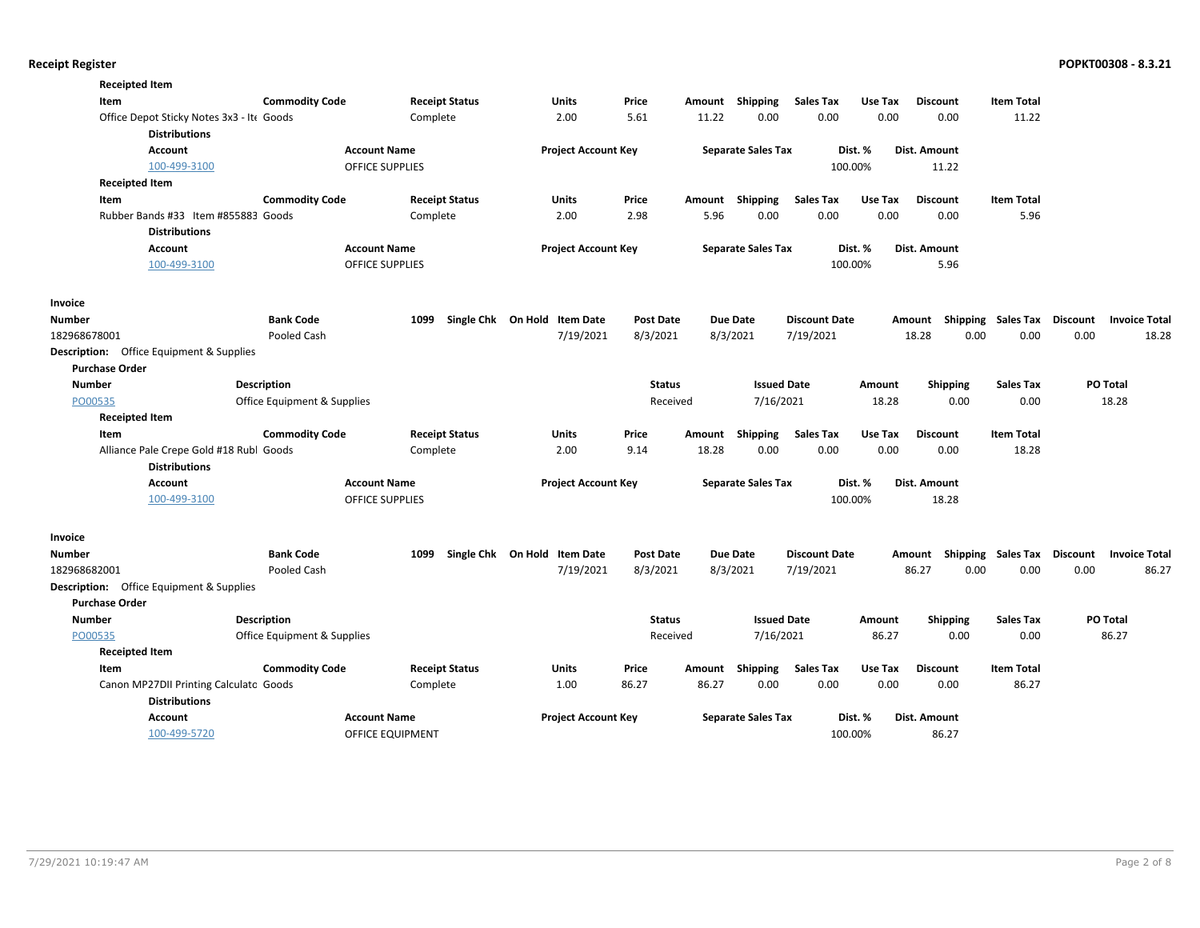| <b>Receipted Item</b>                           |                             |                       |                              |                  |          |                           |                      |         |                           |                   |                 |                      |
|-------------------------------------------------|-----------------------------|-----------------------|------------------------------|------------------|----------|---------------------------|----------------------|---------|---------------------------|-------------------|-----------------|----------------------|
| Item                                            | <b>Commodity Code</b>       | <b>Receipt Status</b> | Units                        | Price            |          | Amount Shipping           | <b>Sales Tax</b>     | Use Tax | <b>Discount</b>           | <b>Item Total</b> |                 |                      |
| Office Depot Sticky Notes 3x3 - Ite Goods       |                             | Complete              | 2.00                         | 5.61             | 11.22    | 0.00                      | 0.00                 | 0.00    | 0.00                      | 11.22             |                 |                      |
| <b>Distributions</b>                            |                             |                       |                              |                  |          |                           |                      |         |                           |                   |                 |                      |
| Account                                         | <b>Account Name</b>         |                       | <b>Project Account Key</b>   |                  |          | <b>Separate Sales Tax</b> |                      | Dist. % | Dist. Amount              |                   |                 |                      |
| 100-499-3100                                    | <b>OFFICE SUPPLIES</b>      |                       |                              |                  |          |                           | 100.00%              |         | 11.22                     |                   |                 |                      |
| <b>Receipted Item</b>                           |                             |                       |                              |                  |          |                           |                      |         |                           |                   |                 |                      |
| Item                                            | <b>Commodity Code</b>       | <b>Receipt Status</b> | Units                        | Price            |          | Amount Shipping           | <b>Sales Tax</b>     | Use Tax | <b>Discount</b>           | <b>Item Total</b> |                 |                      |
| Rubber Bands #33 Item #855883 Goods             |                             | Complete              | 2.00                         | 2.98             | 5.96     | 0.00                      | 0.00                 | 0.00    | 0.00                      | 5.96              |                 |                      |
| <b>Distributions</b>                            |                             |                       |                              |                  |          |                           |                      |         |                           |                   |                 |                      |
| Account                                         | <b>Account Name</b>         |                       | <b>Project Account Key</b>   |                  |          | <b>Separate Sales Tax</b> |                      | Dist. % | Dist. Amount              |                   |                 |                      |
| 100-499-3100                                    | <b>OFFICE SUPPLIES</b>      |                       |                              |                  |          |                           | 100.00%              |         | 5.96                      |                   |                 |                      |
| Invoice                                         |                             |                       |                              |                  |          |                           |                      |         |                           |                   |                 |                      |
| <b>Number</b>                                   | <b>Bank Code</b>            | 1099                  | Single Chk On Hold Item Date | <b>Post Date</b> |          | <b>Due Date</b>           | <b>Discount Date</b> |         | Amount Shipping Sales Tax |                   | <b>Discount</b> | <b>Invoice Total</b> |
| 182968678001                                    | Pooled Cash                 |                       | 7/19/2021                    | 8/3/2021         | 8/3/2021 |                           | 7/19/2021            |         | 18.28<br>0.00             | 0.00              | 0.00            | 18.28                |
| <b>Description:</b> Office Equipment & Supplies |                             |                       |                              |                  |          |                           |                      |         |                           |                   |                 |                      |
| <b>Purchase Order</b>                           |                             |                       |                              |                  |          |                           |                      |         |                           |                   |                 |                      |
| <b>Number</b>                                   | <b>Description</b>          |                       |                              | <b>Status</b>    |          | <b>Issued Date</b>        |                      | Amount  | <b>Shipping</b>           | <b>Sales Tax</b>  |                 | PO Total             |
| PO00535                                         | Office Equipment & Supplies |                       |                              | Received         |          | 7/16/2021                 |                      | 18.28   | 0.00                      | 0.00              |                 | 18.28                |
| <b>Receipted Item</b>                           |                             |                       |                              |                  |          |                           |                      |         |                           |                   |                 |                      |
| Item                                            | <b>Commodity Code</b>       | <b>Receipt Status</b> | Units                        | Price            | Amount   | Shipping                  | <b>Sales Tax</b>     | Use Tax | <b>Discount</b>           | <b>Item Total</b> |                 |                      |
| Alliance Pale Crepe Gold #18 Rubl Goods         |                             | Complete              | 2.00                         | 9.14             | 18.28    | 0.00                      | 0.00                 | 0.00    | 0.00                      | 18.28             |                 |                      |
| <b>Distributions</b>                            |                             |                       |                              |                  |          |                           |                      |         |                           |                   |                 |                      |
| Account                                         | <b>Account Name</b>         |                       | <b>Project Account Key</b>   |                  |          | <b>Separate Sales Tax</b> |                      | Dist. % | Dist. Amount              |                   |                 |                      |
| 100-499-3100                                    | <b>OFFICE SUPPLIES</b>      |                       |                              |                  |          |                           | 100.00%              |         | 18.28                     |                   |                 |                      |
| Invoice                                         |                             |                       |                              |                  |          |                           |                      |         |                           |                   |                 |                      |
| <b>Number</b>                                   | <b>Bank Code</b>            | 1099                  | Single Chk On Hold Item Date | <b>Post Date</b> |          | <b>Due Date</b>           | <b>Discount Date</b> |         | Amount Shipping Sales Tax |                   | <b>Discount</b> | <b>Invoice Total</b> |
| 182968682001                                    | Pooled Cash                 |                       | 7/19/2021                    | 8/3/2021         |          | 8/3/2021                  | 7/19/2021            |         | 86.27<br>0.00             | 0.00              | 0.00            | 86.27                |
| <b>Description:</b> Office Equipment & Supplies |                             |                       |                              |                  |          |                           |                      |         |                           |                   |                 |                      |
| <b>Purchase Order</b>                           |                             |                       |                              |                  |          |                           |                      |         |                           |                   |                 |                      |
| <b>Number</b>                                   | <b>Description</b>          |                       |                              | <b>Status</b>    |          | <b>Issued Date</b>        |                      | Amount  | Shipping                  | <b>Sales Tax</b>  |                 | PO Total             |
| PO00535                                         | Office Equipment & Supplies |                       |                              | Received         |          | 7/16/2021                 |                      | 86.27   | 0.00                      | 0.00              |                 | 86.27                |
| <b>Receipted Item</b>                           |                             |                       |                              |                  |          |                           |                      |         |                           |                   |                 |                      |
| Item                                            | <b>Commodity Code</b>       | <b>Receipt Status</b> | Units                        | Price            | Amount   | Shipping                  | Sales Tax            | Use Tax | <b>Discount</b>           | <b>Item Total</b> |                 |                      |
| Canon MP27DII Printing Calculato Goods          |                             | Complete              | 1.00                         | 86.27            | 86.27    | 0.00                      | 0.00                 | 0.00    | 0.00                      | 86.27             |                 |                      |
| <b>Distributions</b>                            |                             |                       |                              |                  |          |                           |                      |         |                           |                   |                 |                      |
| Account                                         | <b>Account Name</b>         |                       | <b>Project Account Key</b>   |                  |          | <b>Separate Sales Tax</b> |                      | Dist. % | Dist. Amount              |                   |                 |                      |
| 100-499-5720                                    | <b>OFFICE EQUIPMENT</b>     |                       |                              |                  |          |                           | 100.00%              |         | 86.27                     |                   |                 |                      |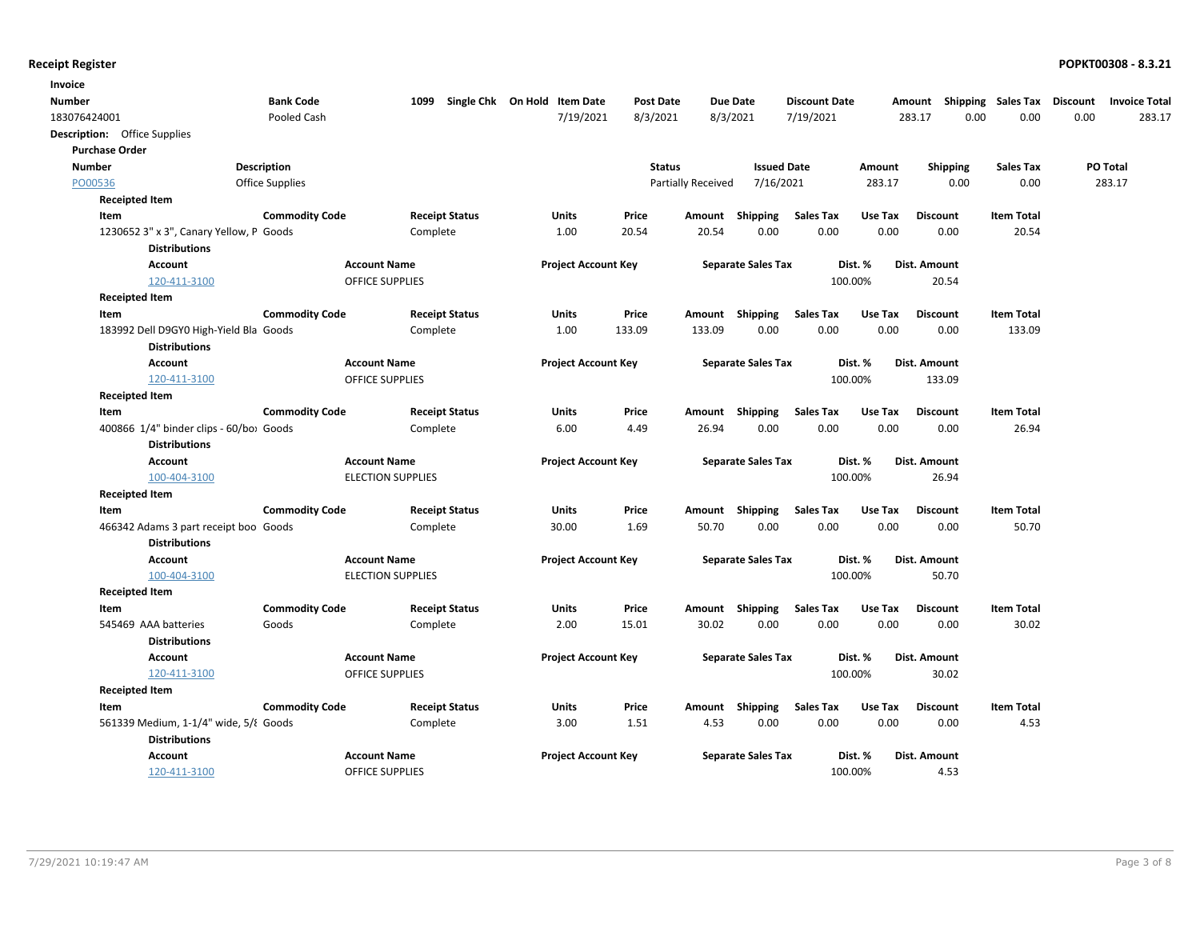| Invoice                                                         |                       |                          |                              |                  |                    |                           |                      |         |                 |                             |                      |
|-----------------------------------------------------------------|-----------------------|--------------------------|------------------------------|------------------|--------------------|---------------------------|----------------------|---------|-----------------|-----------------------------|----------------------|
| <b>Number</b>                                                   | <b>Bank Code</b>      | 1099                     | Single Chk On Hold Item Date | <b>Post Date</b> | <b>Due Date</b>    |                           | <b>Discount Date</b> |         | Amount          | Shipping Sales Tax Discount | <b>Invoice Total</b> |
| 183076424001                                                    | Pooled Cash           |                          | 7/19/2021                    | 8/3/2021         | 8/3/2021           |                           | 7/19/2021            |         | 283.17          | 0.00<br>0.00                | 0.00<br>283.17       |
| <b>Description:</b> Office Supplies                             |                       |                          |                              |                  |                    |                           |                      |         |                 |                             |                      |
| <b>Purchase Order</b>                                           |                       |                          |                              |                  |                    |                           |                      |         |                 |                             |                      |
| <b>Number</b>                                                   | <b>Description</b>    |                          |                              | <b>Status</b>    |                    | <b>Issued Date</b>        |                      | Amount  | <b>Shipping</b> | <b>Sales Tax</b>            | PO Total             |
| PO00536                                                         | Office Supplies       |                          |                              |                  | Partially Received | 7/16/2021                 |                      | 283.17  | 0.00            | 0.00                        | 283.17               |
| <b>Receipted Item</b>                                           |                       |                          |                              |                  |                    |                           |                      |         |                 |                             |                      |
| Item                                                            | <b>Commodity Code</b> | <b>Receipt Status</b>    | <b>Units</b>                 | Price            | Amount             | Shipping                  | <b>Sales Tax</b>     | Use Tax | <b>Discount</b> | <b>Item Total</b>           |                      |
| 1230652 3" x 3", Canary Yellow, P Goods<br><b>Distributions</b> |                       | Complete                 | 1.00                         | 20.54            | 20.54              | 0.00                      | 0.00                 | 0.00    | 0.00            | 20.54                       |                      |
| Account                                                         |                       | <b>Account Name</b>      | <b>Project Account Key</b>   |                  |                    | <b>Separate Sales Tax</b> |                      | Dist. % | Dist. Amount    |                             |                      |
| 120-411-3100                                                    |                       | <b>OFFICE SUPPLIES</b>   |                              |                  |                    |                           | 100.00%              |         | 20.54           |                             |                      |
| <b>Receipted Item</b>                                           |                       |                          |                              |                  |                    |                           |                      |         |                 |                             |                      |
| Item                                                            | <b>Commodity Code</b> | <b>Receipt Status</b>    | <b>Units</b>                 | Price            | Amount Shipping    |                           | <b>Sales Tax</b>     | Use Tax | <b>Discount</b> | <b>Item Total</b>           |                      |
| 183992 Dell D9GY0 High-Yield Bla Goods                          |                       | Complete                 | 1.00                         | 133.09           | 133.09             | 0.00                      | 0.00                 | 0.00    | 0.00            | 133.09                      |                      |
| <b>Distributions</b>                                            |                       |                          |                              |                  |                    |                           |                      |         |                 |                             |                      |
| Account                                                         |                       | <b>Account Name</b>      | <b>Project Account Key</b>   |                  |                    | <b>Separate Sales Tax</b> |                      | Dist. % | Dist. Amount    |                             |                      |
| 120-411-3100                                                    |                       | <b>OFFICE SUPPLIES</b>   |                              |                  |                    |                           | 100.00%              |         | 133.09          |                             |                      |
| <b>Receipted Item</b>                                           |                       |                          |                              |                  |                    |                           |                      |         |                 |                             |                      |
| Item                                                            | <b>Commodity Code</b> | <b>Receipt Status</b>    | Units                        | Price            | Amount Shipping    |                           | <b>Sales Tax</b>     | Use Tax | <b>Discount</b> | <b>Item Total</b>           |                      |
| 400866 1/4" binder clips - 60/bo> Goods                         |                       | Complete                 | 6.00                         | 4.49             | 26.94              | 0.00                      | 0.00                 | 0.00    | 0.00            | 26.94                       |                      |
| <b>Distributions</b>                                            |                       |                          |                              |                  |                    |                           |                      |         |                 |                             |                      |
| <b>Account</b>                                                  |                       | <b>Account Name</b>      | <b>Project Account Key</b>   |                  |                    | <b>Separate Sales Tax</b> |                      | Dist. % | Dist. Amount    |                             |                      |
| 100-404-3100                                                    |                       | <b>ELECTION SUPPLIES</b> |                              |                  |                    |                           | 100.00%              |         | 26.94           |                             |                      |
| <b>Receipted Item</b>                                           |                       |                          |                              |                  |                    |                           |                      |         |                 |                             |                      |
| Item                                                            | <b>Commodity Code</b> | <b>Receipt Status</b>    | Units                        | Price            | Amount Shipping    |                           | <b>Sales Tax</b>     | Use Tax | <b>Discount</b> | <b>Item Total</b>           |                      |
| 466342 Adams 3 part receipt boo Goods<br><b>Distributions</b>   |                       | Complete                 | 30.00                        | 1.69             | 50.70              | 0.00                      | 0.00                 | 0.00    | 0.00            | 50.70                       |                      |
| <b>Account</b>                                                  |                       | <b>Account Name</b>      | <b>Project Account Key</b>   |                  |                    | <b>Separate Sales Tax</b> |                      | Dist. % | Dist. Amount    |                             |                      |
| 100-404-3100                                                    |                       | <b>ELECTION SUPPLIES</b> |                              |                  |                    |                           | 100.00%              |         | 50.70           |                             |                      |
| <b>Receipted Item</b>                                           |                       |                          |                              |                  |                    |                           |                      |         |                 |                             |                      |
| Item                                                            | <b>Commodity Code</b> | <b>Receipt Status</b>    | Units                        | Price            | Amount Shipping    |                           | <b>Sales Tax</b>     | Use Tax | <b>Discount</b> | <b>Item Total</b>           |                      |
| 545469 AAA batteries                                            | Goods                 | Complete                 | 2.00                         | 15.01            | 30.02              | 0.00                      | 0.00                 | 0.00    | 0.00            | 30.02                       |                      |
| <b>Distributions</b>                                            |                       |                          |                              |                  |                    |                           |                      |         |                 |                             |                      |
| <b>Account</b>                                                  |                       | <b>Account Name</b>      | <b>Project Account Key</b>   |                  |                    | <b>Separate Sales Tax</b> |                      | Dist. % | Dist. Amount    |                             |                      |
| 120-411-3100                                                    |                       | <b>OFFICE SUPPLIES</b>   |                              |                  |                    |                           | 100.00%              |         | 30.02           |                             |                      |
| <b>Receipted Item</b>                                           |                       |                          |                              |                  |                    |                           |                      |         |                 |                             |                      |
| Item                                                            | <b>Commodity Code</b> | <b>Receipt Status</b>    | <b>Units</b>                 | Price            | Amount             | Shipping                  | <b>Sales Tax</b>     | Use Tax | <b>Discount</b> | <b>Item Total</b>           |                      |
| 561339 Medium, 1-1/4" wide, 5/8 Goods                           |                       | Complete                 | 3.00                         | 1.51             | 4.53               | 0.00                      | 0.00                 | 0.00    | 0.00            | 4.53                        |                      |
| <b>Distributions</b>                                            |                       |                          |                              |                  |                    |                           |                      |         |                 |                             |                      |
| <b>Account</b>                                                  |                       | <b>Account Name</b>      | <b>Project Account Key</b>   |                  |                    | <b>Separate Sales Tax</b> |                      | Dist. % | Dist. Amount    |                             |                      |
| 120-411-3100                                                    |                       | <b>OFFICE SUPPLIES</b>   |                              |                  |                    |                           | 100.00%              |         | 4.53            |                             |                      |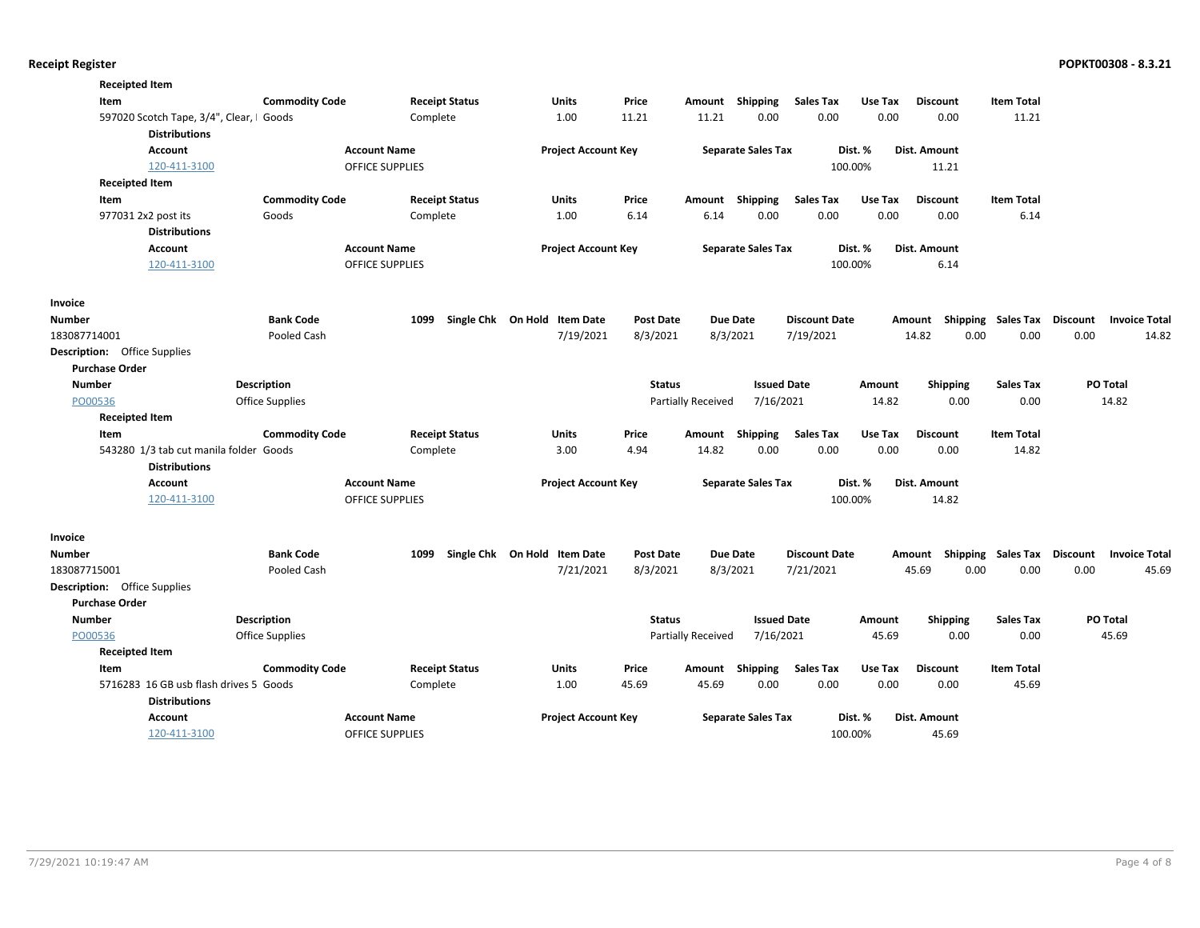| <b>Receipted Item</b>                                            |                       |                        |                              |                  |                           |                      |         |                           |                   |                                  |
|------------------------------------------------------------------|-----------------------|------------------------|------------------------------|------------------|---------------------------|----------------------|---------|---------------------------|-------------------|----------------------------------|
| Item                                                             | <b>Commodity Code</b> | <b>Receipt Status</b>  | Units                        | Price            | Amount Shipping           | <b>Sales Tax</b>     | Use Tax | <b>Discount</b>           | <b>Item Total</b> |                                  |
| 597020 Scotch Tape, 3/4", Clear,   Goods<br><b>Distributions</b> |                       | Complete               | 1.00                         | 11.21            | 11.21                     | 0.00<br>0.00         | 0.00    | 0.00                      | 11.21             |                                  |
| Account                                                          |                       | <b>Account Name</b>    | <b>Project Account Key</b>   |                  | <b>Separate Sales Tax</b> |                      | Dist. % | Dist. Amount              |                   |                                  |
| 120-411-3100                                                     |                       | <b>OFFICE SUPPLIES</b> |                              |                  |                           | 100.00%              |         | 11.21                     |                   |                                  |
| <b>Receipted Item</b>                                            |                       |                        |                              |                  |                           |                      |         |                           |                   |                                  |
| Item                                                             | <b>Commodity Code</b> | <b>Receipt Status</b>  | <b>Units</b>                 | Price            | Shipping<br>Amount        | <b>Sales Tax</b>     | Use Tax | <b>Discount</b>           | <b>Item Total</b> |                                  |
| 977031 2x2 post its                                              | Goods                 | Complete               | 1.00                         | 6.14             | 6.14                      | 0.00<br>0.00         | 0.00    | 0.00                      | 6.14              |                                  |
| <b>Distributions</b>                                             |                       |                        |                              |                  |                           |                      |         |                           |                   |                                  |
| Account                                                          |                       | <b>Account Name</b>    | <b>Project Account Key</b>   |                  | <b>Separate Sales Tax</b> |                      | Dist. % | Dist. Amount              |                   |                                  |
| 120-411-3100                                                     |                       | <b>OFFICE SUPPLIES</b> |                              |                  |                           | 100.00%              |         | 6.14                      |                   |                                  |
| Invoice                                                          |                       |                        |                              |                  |                           |                      |         |                           |                   |                                  |
| <b>Number</b>                                                    | <b>Bank Code</b>      | 1099                   | Single Chk On Hold Item Date | <b>Post Date</b> | <b>Due Date</b>           | <b>Discount Date</b> |         | Amount Shipping           | Sales Tax         | Discount<br><b>Invoice Total</b> |
| 183087714001                                                     | Pooled Cash           |                        | 7/19/2021                    | 8/3/2021         | 8/3/2021                  | 7/19/2021            |         | 14.82<br>0.00             | 0.00              | 0.00<br>14.82                    |
| <b>Description:</b> Office Supplies                              |                       |                        |                              |                  |                           |                      |         |                           |                   |                                  |
| <b>Purchase Order</b>                                            |                       |                        |                              |                  |                           |                      |         |                           |                   |                                  |
| <b>Number</b>                                                    | <b>Description</b>    |                        |                              | <b>Status</b>    |                           | <b>Issued Date</b>   | Amount  | Shipping                  | <b>Sales Tax</b>  | PO Total                         |
| PO00536                                                          | Office Supplies       |                        |                              |                  | Partially Received        | 7/16/2021            | 14.82   | 0.00                      | 0.00              | 14.82                            |
| <b>Receipted Item</b>                                            |                       |                        |                              |                  |                           |                      |         |                           |                   |                                  |
| Item                                                             | <b>Commodity Code</b> | <b>Receipt Status</b>  | <b>Units</b>                 | Price            | Shipping<br>Amount        | <b>Sales Tax</b>     | Use Tax | <b>Discount</b>           | <b>Item Total</b> |                                  |
| 543280 1/3 tab cut manila folder Goods                           |                       | Complete               | 3.00                         | 4.94             | 14.82                     | 0.00<br>0.00         | 0.00    | 0.00                      | 14.82             |                                  |
| <b>Distributions</b>                                             |                       |                        |                              |                  |                           |                      |         |                           |                   |                                  |
| Account                                                          |                       | <b>Account Name</b>    | <b>Project Account Key</b>   |                  | <b>Separate Sales Tax</b> |                      | Dist. % | Dist. Amount              |                   |                                  |
| 120-411-3100                                                     |                       | OFFICE SUPPLIES        |                              |                  |                           | 100.00%              |         | 14.82                     |                   |                                  |
| Invoice                                                          |                       |                        |                              |                  |                           |                      |         |                           |                   |                                  |
| <b>Number</b>                                                    | <b>Bank Code</b>      | 1099                   | Single Chk On Hold Item Date | <b>Post Date</b> | <b>Due Date</b>           | <b>Discount Date</b> |         | Amount Shipping Sales Tax |                   | Discount<br><b>Invoice Total</b> |
| 183087715001                                                     | Pooled Cash           |                        | 7/21/2021                    | 8/3/2021         | 8/3/2021                  | 7/21/2021            |         | 0.00<br>45.69             | 0.00              | 0.00<br>45.69                    |
| <b>Description:</b> Office Supplies                              |                       |                        |                              |                  |                           |                      |         |                           |                   |                                  |
| <b>Purchase Order</b>                                            |                       |                        |                              |                  |                           |                      |         |                           |                   |                                  |
| <b>Number</b>                                                    | <b>Description</b>    |                        |                              | <b>Status</b>    |                           | <b>Issued Date</b>   | Amount  | Shipping                  | <b>Sales Tax</b>  | PO Total                         |
| PO00536                                                          | Office Supplies       |                        |                              |                  | <b>Partially Received</b> | 7/16/2021            | 45.69   | 0.00                      | 0.00              | 45.69                            |
| <b>Receipted Item</b>                                            |                       |                        |                              |                  |                           |                      |         |                           |                   |                                  |
| Item                                                             | <b>Commodity Code</b> | <b>Receipt Status</b>  | Units                        | Price            | Shipping<br>Amount        | <b>Sales Tax</b>     | Use Tax | <b>Discount</b>           | <b>Item Total</b> |                                  |
| 5716283 16 GB usb flash drives 5 Goods                           |                       | Complete               | 1.00                         | 45.69            | 45.69                     | 0.00<br>0.00         | 0.00    | 0.00                      | 45.69             |                                  |
| <b>Distributions</b>                                             |                       |                        |                              |                  |                           |                      |         |                           |                   |                                  |
| Account                                                          |                       | <b>Account Name</b>    | <b>Project Account Key</b>   |                  | <b>Separate Sales Tax</b> |                      | Dist. % | Dist. Amount              |                   |                                  |
| 120-411-3100                                                     |                       | <b>OFFICE SUPPLIES</b> |                              |                  |                           | 100.00%              |         | 45.69                     |                   |                                  |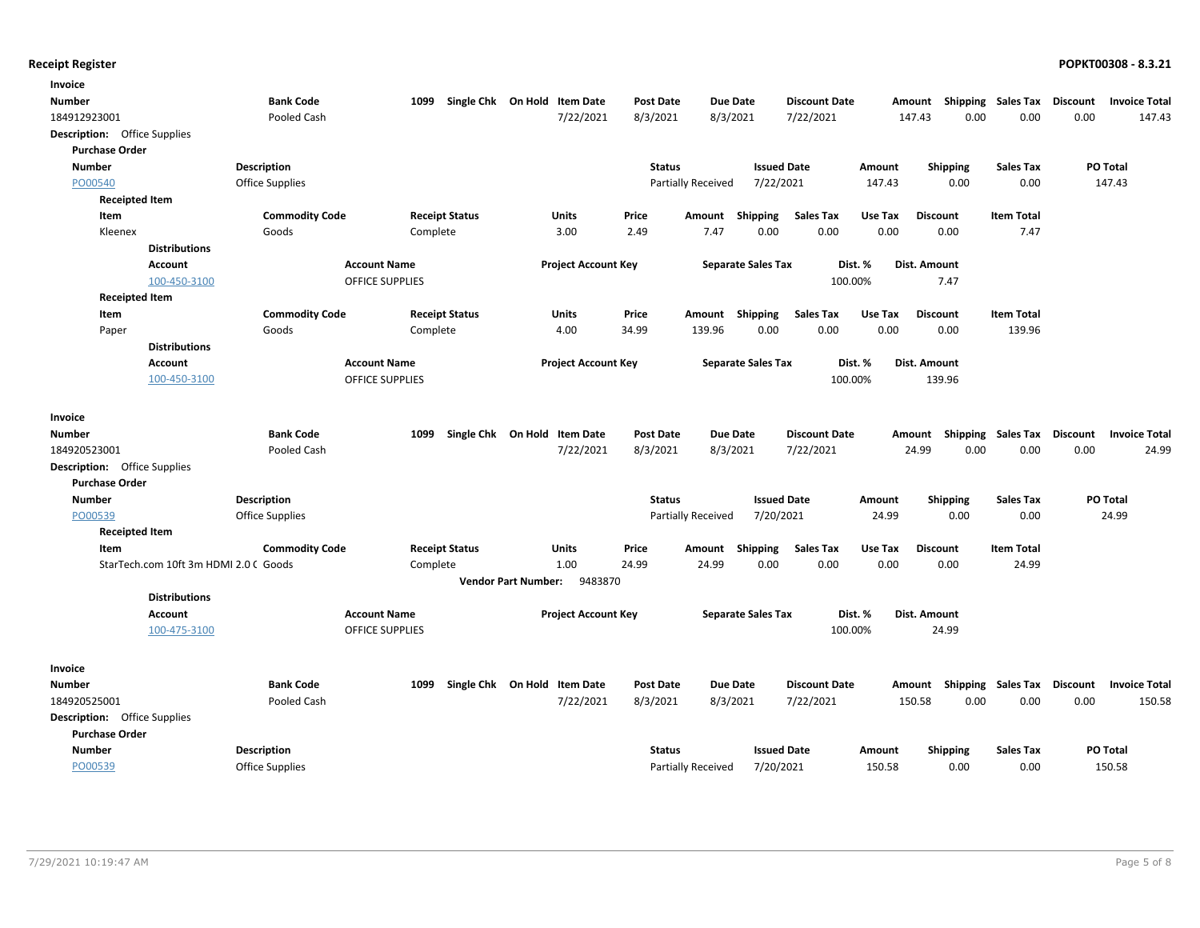| Invoice                             |                                       |                        |                        |                                      |                            |                            |                  |                    |                           |                      |         |                           |                    |          |                      |
|-------------------------------------|---------------------------------------|------------------------|------------------------|--------------------------------------|----------------------------|----------------------------|------------------|--------------------|---------------------------|----------------------|---------|---------------------------|--------------------|----------|----------------------|
| <b>Number</b>                       |                                       | <b>Bank Code</b>       |                        | 1099<br>Single Chk On Hold Item Date |                            |                            | <b>Post Date</b> | <b>Due Date</b>    |                           | <b>Discount Date</b> |         | Amount Shipping Sales Tax |                    | Discount | <b>Invoice Total</b> |
| 184912923001                        |                                       | Pooled Cash            |                        |                                      |                            | 7/22/2021                  | 8/3/2021         | 8/3/2021           |                           | 7/22/2021            | 147.43  | 0.00                      | 0.00               | 0.00     | 147.43               |
| <b>Description:</b> Office Supplies |                                       |                        |                        |                                      |                            |                            |                  |                    |                           |                      |         |                           |                    |          |                      |
| <b>Purchase Order</b>               |                                       |                        |                        |                                      |                            |                            |                  |                    |                           |                      |         |                           |                    |          |                      |
| <b>Number</b>                       |                                       | <b>Description</b>     |                        |                                      |                            |                            | <b>Status</b>    |                    | <b>Issued Date</b>        |                      | Amount  | Shipping                  | <b>Sales Tax</b>   | PO Total |                      |
| PO00540                             |                                       | <b>Office Supplies</b> |                        |                                      |                            |                            |                  | Partially Received | 7/22/2021                 |                      | 147.43  | 0.00                      | 0.00               |          | 147.43               |
| <b>Receipted Item</b>               |                                       |                        |                        |                                      |                            |                            |                  |                    |                           |                      |         |                           |                    |          |                      |
| Item                                |                                       | <b>Commodity Code</b>  |                        | <b>Receipt Status</b>                |                            | <b>Units</b>               | Price            | Amount             | Shipping                  | <b>Sales Tax</b>     | Use Tax | <b>Discount</b>           | <b>Item Total</b>  |          |                      |
| Kleenex                             |                                       | Goods                  |                        | Complete                             |                            | 3.00                       | 2.49             | 7.47               | 0.00                      | 0.00                 | 0.00    | 0.00                      | 7.47               |          |                      |
|                                     | <b>Distributions</b>                  |                        |                        |                                      |                            |                            |                  |                    |                           |                      |         |                           |                    |          |                      |
|                                     | Account                               |                        | <b>Account Name</b>    |                                      |                            | <b>Project Account Key</b> |                  |                    | <b>Separate Sales Tax</b> | Dist. %              |         | Dist. Amount              |                    |          |                      |
|                                     | 100-450-3100                          |                        | OFFICE SUPPLIES        |                                      |                            |                            |                  |                    |                           | 100.00%              |         | 7.47                      |                    |          |                      |
| <b>Receipted Item</b>               |                                       |                        |                        |                                      |                            |                            |                  |                    |                           |                      |         |                           |                    |          |                      |
| Item                                |                                       | <b>Commodity Code</b>  |                        | <b>Receipt Status</b>                |                            | Units                      | Price            | Amount             | <b>Shipping</b>           | <b>Sales Tax</b>     | Use Tax | <b>Discount</b>           | <b>Item Total</b>  |          |                      |
| Paper                               |                                       | Goods                  |                        | Complete                             |                            | 4.00                       | 34.99            | 139.96             | 0.00                      | 0.00                 | 0.00    | 0.00                      | 139.96             |          |                      |
|                                     | <b>Distributions</b>                  |                        |                        |                                      |                            |                            |                  |                    |                           |                      |         |                           |                    |          |                      |
|                                     | Account                               |                        | <b>Account Name</b>    |                                      |                            | <b>Project Account Key</b> |                  |                    | <b>Separate Sales Tax</b> | Dist. %              |         | Dist. Amount              |                    |          |                      |
|                                     | 100-450-3100                          |                        | OFFICE SUPPLIES        |                                      |                            |                            |                  |                    |                           | 100.00%              |         | 139.96                    |                    |          |                      |
| Invoice                             |                                       |                        |                        |                                      |                            |                            |                  |                    |                           |                      |         |                           |                    |          |                      |
| <b>Number</b>                       |                                       | <b>Bank Code</b>       |                        | Single Chk On Hold Item Date<br>1099 |                            |                            | <b>Post Date</b> | <b>Due Date</b>    |                           | <b>Discount Date</b> | Amount  |                           | Shipping Sales Tax | Discount | <b>Invoice Total</b> |
| 184920523001                        |                                       | Pooled Cash            |                        |                                      |                            | 7/22/2021                  | 8/3/2021         | 8/3/2021           |                           | 7/22/2021            |         | 24.99<br>0.00             | 0.00               | 0.00     | 24.99                |
| <b>Description:</b> Office Supplies |                                       |                        |                        |                                      |                            |                            |                  |                    |                           |                      |         |                           |                    |          |                      |
| <b>Purchase Order</b>               |                                       |                        |                        |                                      |                            |                            |                  |                    |                           |                      |         |                           |                    |          |                      |
| <b>Number</b>                       |                                       | <b>Description</b>     |                        |                                      |                            |                            | <b>Status</b>    |                    | <b>Issued Date</b>        |                      | Amount  | Shipping                  | <b>Sales Tax</b>   | PO Total |                      |
| PO00539                             |                                       | <b>Office Supplies</b> |                        |                                      |                            |                            |                  | Partially Received | 7/20/2021                 |                      | 24.99   | 0.00                      | 0.00               |          | 24.99                |
| <b>Receipted Item</b>               |                                       |                        |                        |                                      |                            |                            |                  |                    |                           |                      |         |                           |                    |          |                      |
| Item                                |                                       | <b>Commodity Code</b>  |                        | <b>Receipt Status</b>                |                            | <b>Units</b>               | Price            | Amount             | Shipping                  | <b>Sales Tax</b>     | Use Tax | <b>Discount</b>           | <b>Item Total</b>  |          |                      |
|                                     | StarTech.com 10ft 3m HDMI 2.0 ( Goods |                        |                        | Complete                             |                            | 1.00                       | 24.99            | 24.99              | 0.00                      | 0.00                 | 0.00    | 0.00                      | 24.99              |          |                      |
|                                     |                                       |                        |                        |                                      | <b>Vendor Part Number:</b> | 9483870                    |                  |                    |                           |                      |         |                           |                    |          |                      |
|                                     | <b>Distributions</b>                  |                        |                        |                                      |                            |                            |                  |                    |                           |                      |         |                           |                    |          |                      |
|                                     | Account                               |                        | <b>Account Name</b>    |                                      |                            | <b>Project Account Key</b> |                  |                    | <b>Separate Sales Tax</b> | Dist. %              |         | Dist. Amount              |                    |          |                      |
|                                     | 100-475-3100                          |                        | <b>OFFICE SUPPLIES</b> |                                      |                            |                            |                  |                    |                           | 100.00%              |         | 24.99                     |                    |          |                      |
|                                     |                                       |                        |                        |                                      |                            |                            |                  |                    |                           |                      |         |                           |                    |          |                      |
| Invoice                             |                                       |                        |                        |                                      |                            |                            |                  |                    |                           |                      |         |                           |                    |          |                      |
| Number                              |                                       | <b>Bank Code</b>       |                        | Single Chk On Hold Item Date<br>1099 |                            |                            | <b>Post Date</b> | <b>Due Date</b>    |                           | <b>Discount Date</b> |         | Amount Shipping Sales Tax |                    | Discount | <b>Invoice Total</b> |
| 184920525001                        |                                       | Pooled Cash            |                        |                                      |                            | 7/22/2021                  | 8/3/2021         | 8/3/2021           |                           | 7/22/2021            | 150.58  | 0.00                      | 0.00               | 0.00     | 150.58               |
| <b>Description:</b> Office Supplies |                                       |                        |                        |                                      |                            |                            |                  |                    |                           |                      |         |                           |                    |          |                      |
| <b>Purchase Order</b>               |                                       |                        |                        |                                      |                            |                            |                  |                    | <b>Issued Date</b>        |                      |         |                           |                    | PO Total |                      |
| <b>Number</b>                       |                                       | <b>Description</b>     |                        |                                      |                            |                            | <b>Status</b>    |                    |                           |                      | Amount  | <b>Shipping</b>           | <b>Sales Tax</b>   |          |                      |
| PO00539                             |                                       | Office Supplies        |                        |                                      |                            |                            |                  | Partially Received | 7/20/2021                 |                      | 150.58  | 0.00                      | 0.00               |          | 150.58               |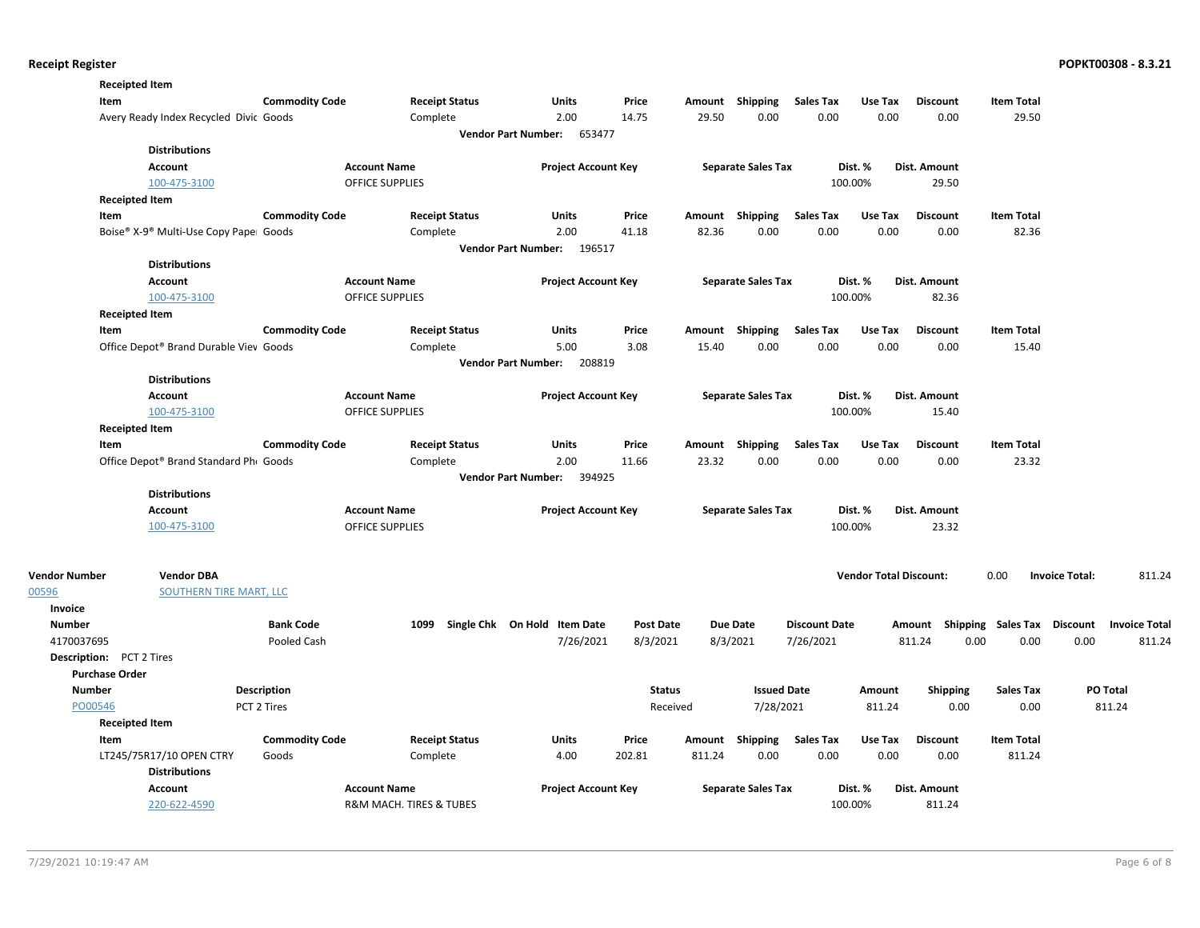|               | <b>Receipted Item</b>                  |                       |                         |                                      |                  |          |                           |                      |                               |                                    |                   |                       |                      |
|---------------|----------------------------------------|-----------------------|-------------------------|--------------------------------------|------------------|----------|---------------------------|----------------------|-------------------------------|------------------------------------|-------------------|-----------------------|----------------------|
|               | Item                                   | <b>Commodity Code</b> | <b>Receipt Status</b>   | Units                                | Price            |          | Amount Shipping           | <b>Sales Tax</b>     | Use Tax                       | <b>Discount</b>                    | <b>Item Total</b> |                       |                      |
|               | Avery Ready Index Recycled Divic Goods |                       | Complete                | 2.00                                 | 14.75            | 29.50    | 0.00                      | 0.00                 | 0.00                          | 0.00                               | 29.50             |                       |                      |
|               |                                        |                       |                         | <b>Vendor Part Number:</b><br>653477 |                  |          |                           |                      |                               |                                    |                   |                       |                      |
|               | <b>Distributions</b>                   |                       |                         |                                      |                  |          |                           |                      |                               |                                    |                   |                       |                      |
|               | <b>Account</b>                         |                       | <b>Account Name</b>     | <b>Project Account Key</b>           |                  |          | <b>Separate Sales Tax</b> |                      | Dist. %                       | Dist. Amount                       |                   |                       |                      |
|               | 100-475-3100                           |                       | <b>OFFICE SUPPLIES</b>  |                                      |                  |          |                           |                      | 100.00%                       | 29.50                              |                   |                       |                      |
|               | <b>Receipted Item</b>                  |                       |                         |                                      |                  |          |                           |                      |                               |                                    |                   |                       |                      |
|               | Item                                   | <b>Commodity Code</b> | <b>Receipt Status</b>   | Units                                | Price            |          | Amount Shipping           | <b>Sales Tax</b>     | Use Tax                       | <b>Discount</b>                    | <b>Item Total</b> |                       |                      |
|               | Boise® X-9® Multi-Use Copy Pape⊨ Goods |                       | Complete                | 2.00                                 | 41.18            | 82.36    | 0.00                      | 0.00                 | 0.00                          | 0.00                               | 82.36             |                       |                      |
|               |                                        |                       |                         | Vendor Part Number: 196517           |                  |          |                           |                      |                               |                                    |                   |                       |                      |
|               | <b>Distributions</b>                   |                       |                         |                                      |                  |          |                           |                      |                               |                                    |                   |                       |                      |
|               | <b>Account</b>                         |                       | <b>Account Name</b>     | <b>Project Account Key</b>           |                  |          | <b>Separate Sales Tax</b> |                      | Dist. %                       | <b>Dist. Amount</b>                |                   |                       |                      |
|               | 100-475-3100                           |                       | OFFICE SUPPLIES         |                                      |                  |          |                           |                      | 100.00%                       | 82.36                              |                   |                       |                      |
|               | <b>Receipted Item</b>                  |                       |                         |                                      |                  |          |                           |                      |                               |                                    |                   |                       |                      |
|               | Item                                   | <b>Commodity Code</b> | <b>Receipt Status</b>   | Units                                | Price            |          | Amount Shipping           | <b>Sales Tax</b>     | Use Tax                       | <b>Discount</b>                    | <b>Item Total</b> |                       |                      |
|               | Office Depot® Brand Durable Viev Goods |                       | Complete                | 5.00                                 | 3.08             | 15.40    | 0.00                      | 0.00                 | 0.00                          | 0.00                               | 15.40             |                       |                      |
|               |                                        |                       |                         | Vendor Part Number: 208819           |                  |          |                           |                      |                               |                                    |                   |                       |                      |
|               | <b>Distributions</b>                   |                       |                         |                                      |                  |          |                           |                      |                               |                                    |                   |                       |                      |
|               | Account                                |                       | <b>Account Name</b>     | <b>Project Account Key</b>           |                  |          | <b>Separate Sales Tax</b> |                      | Dist. %                       | Dist. Amount                       |                   |                       |                      |
|               | 100-475-3100                           |                       | <b>OFFICE SUPPLIES</b>  |                                      |                  |          |                           |                      | 100.00%                       | 15.40                              |                   |                       |                      |
|               | <b>Receipted Item</b>                  |                       |                         |                                      |                  |          |                           |                      |                               |                                    |                   |                       |                      |
|               | Item                                   | <b>Commodity Code</b> | <b>Receipt Status</b>   | Units                                | Price            |          | Amount Shipping           | <b>Sales Tax</b>     | Use Tax                       | <b>Discount</b>                    | <b>Item Total</b> |                       |                      |
|               | Office Depot® Brand Standard Phi Goods |                       | Complete                | 2.00                                 | 11.66            | 23.32    | 0.00                      | 0.00                 | 0.00                          | 0.00                               | 23.32             |                       |                      |
|               |                                        |                       |                         | <b>Vendor Part Number:</b><br>394925 |                  |          |                           |                      |                               |                                    |                   |                       |                      |
|               | <b>Distributions</b>                   |                       |                         |                                      |                  |          |                           |                      |                               |                                    |                   |                       |                      |
|               | <b>Account</b>                         |                       | <b>Account Name</b>     | <b>Project Account Key</b>           |                  |          | <b>Separate Sales Tax</b> |                      | Dist. %                       | <b>Dist. Amount</b>                |                   |                       |                      |
|               | 100-475-3100                           |                       | OFFICE SUPPLIES         |                                      |                  |          |                           |                      | 100.00%                       | 23.32                              |                   |                       |                      |
| Vendor Number | <b>Vendor DBA</b>                      |                       |                         |                                      |                  |          |                           |                      | <b>Vendor Total Discount:</b> |                                    | 0.00              | <b>Invoice Total:</b> | 811.24               |
| 00596         | <b>SOUTHERN TIRE MART, LLC</b>         |                       |                         |                                      |                  |          |                           |                      |                               |                                    |                   |                       |                      |
| Invoice       |                                        |                       |                         |                                      |                  |          |                           |                      |                               |                                    |                   |                       |                      |
| <b>Number</b> |                                        | <b>Bank Code</b>      | 1099                    | Single Chk On Hold Item Date         | <b>Post Date</b> |          | <b>Due Date</b>           | <b>Discount Date</b> |                               | Amount Shipping Sales Tax Discount |                   |                       | <b>Invoice Total</b> |
| 4170037695    |                                        | Pooled Cash           |                         | 7/26/2021                            | 8/3/2021         |          | 8/3/2021                  | 7/26/2021            |                               | 811.24<br>0.00                     | 0.00              | 0.00                  | 811.24               |
|               | <b>Description:</b> PCT 2 Tires        |                       |                         |                                      |                  |          |                           |                      |                               |                                    |                   |                       |                      |
|               | <b>Purchase Order</b>                  |                       |                         |                                      |                  |          |                           |                      |                               |                                    |                   |                       |                      |
| <b>Number</b> |                                        | Description           |                         |                                      | <b>Status</b>    |          | <b>Issued Date</b>        |                      | Amount                        | <b>Shipping</b>                    | <b>Sales Tax</b>  |                       | PO Total             |
| PO00546       |                                        | PCT 2 Tires           |                         |                                      |                  | Received | 7/28/2021                 |                      | 811.24                        | 0.00                               | 0.00              |                       | 811.24               |
|               | <b>Receipted Item</b>                  |                       |                         |                                      |                  |          |                           |                      |                               |                                    |                   |                       |                      |
|               | Item                                   | <b>Commodity Code</b> | <b>Receipt Status</b>   | Units                                | Price            |          | Amount Shipping           | Sales Tax            | Use Tax                       | <b>Discount</b>                    | <b>Item Total</b> |                       |                      |
|               | LT245/75R17/10 OPEN CTRY               | Goods                 | Complete                | 4.00                                 | 202.81           | 811.24   | 0.00                      | 0.00                 | 0.00                          | 0.00                               | 811.24            |                       |                      |
|               | <b>Distributions</b>                   |                       |                         |                                      |                  |          |                           |                      |                               |                                    |                   |                       |                      |
|               | Account                                |                       | <b>Account Name</b>     | <b>Project Account Key</b>           |                  |          | <b>Separate Sales Tax</b> |                      | Dist. %                       | <b>Dist. Amount</b>                |                   |                       |                      |
|               | 220-622-4590                           |                       | R&M MACH. TIRES & TUBES |                                      |                  |          |                           |                      | 100.00%                       | 811.24                             |                   |                       |                      |
|               |                                        |                       |                         |                                      |                  |          |                           |                      |                               |                                    |                   |                       |                      |

00596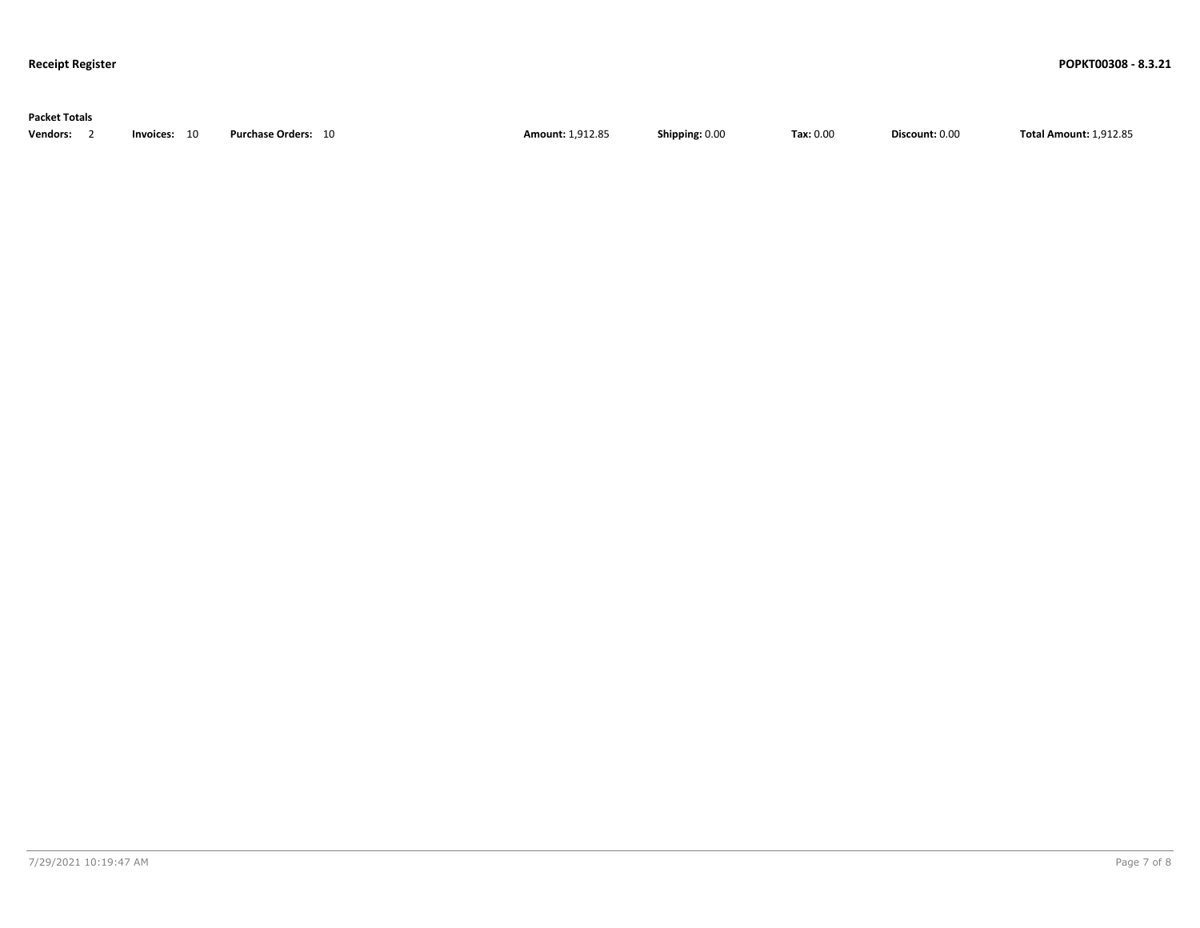| <b>Packet Totals</b> |              |                            |                         |                |                  |                |                               |  |  |  |  |  |
|----------------------|--------------|----------------------------|-------------------------|----------------|------------------|----------------|-------------------------------|--|--|--|--|--|
| <b>Vendors:</b>      | Invoices: 10 | <b>Purchase Orders: 10</b> | <b>Amount: 1,912.85</b> | Shipping: 0.00 | <b>Tax: 0.00</b> | Discount: 0.00 | <b>Total Amount: 1.912.85</b> |  |  |  |  |  |